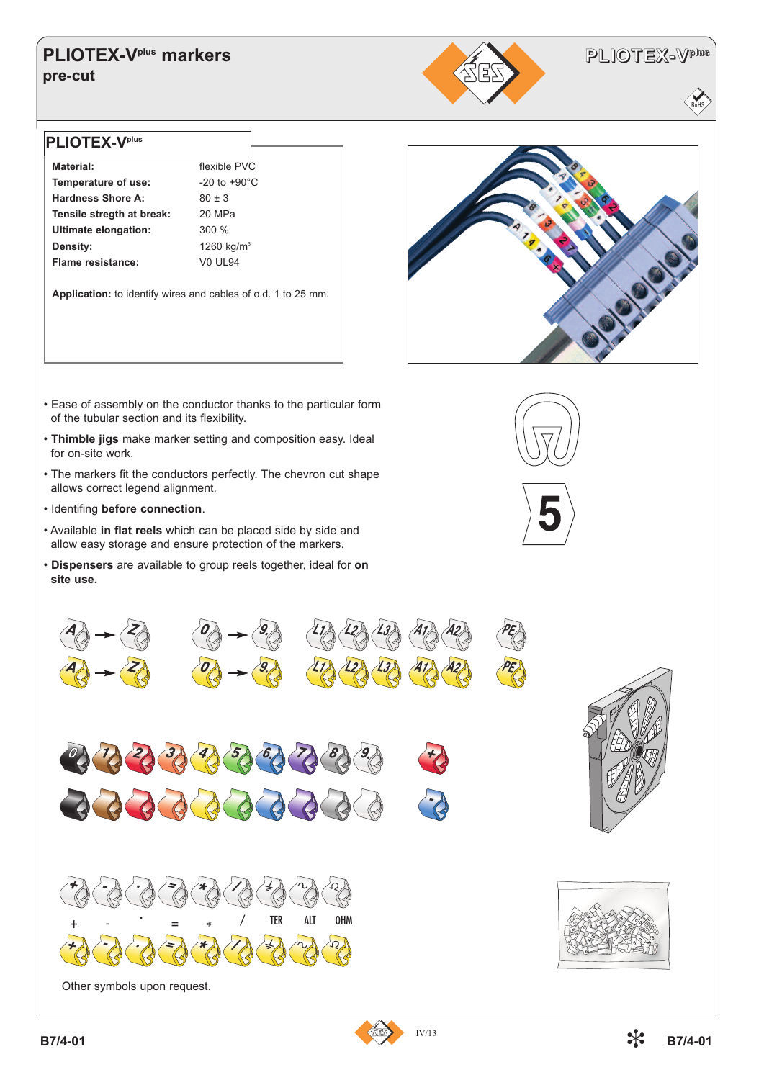## **PLIOTEX-Vplus markers pre-cut**



RoHS

#### **PLIOTEX-Vplus**

**Material:** flexible PVC **Temperature of use:** -20 to +90°C **Hardness Shore A:** 80 ± 3 **Tensile stregth at break:** 20 MPa **Ultimate elongation:** 300 % **Density:** 1260 kg/m<sup>3</sup> **Flame resistance:** V0 UL94

**Application:** to identify wires and cables of o.d. 1 to 25 mm.



- Ease of assembly on the conductor thanks to the particular form of the tubular section and its flexibility.
- **Thimble jigs** make marker setting and composition easy. Ideal for on-site work.
- The markers fit the conductors perfectly. The chevron cut shape allows correct legend alignment.
- Identifing **before connection**.
- Available **in flat reels** which can be placed side by side and allow easy storage and ensure protection of the markers.
- **Dispensers** are available to group reels together, ideal for **on site use.**







Other symbols upon request.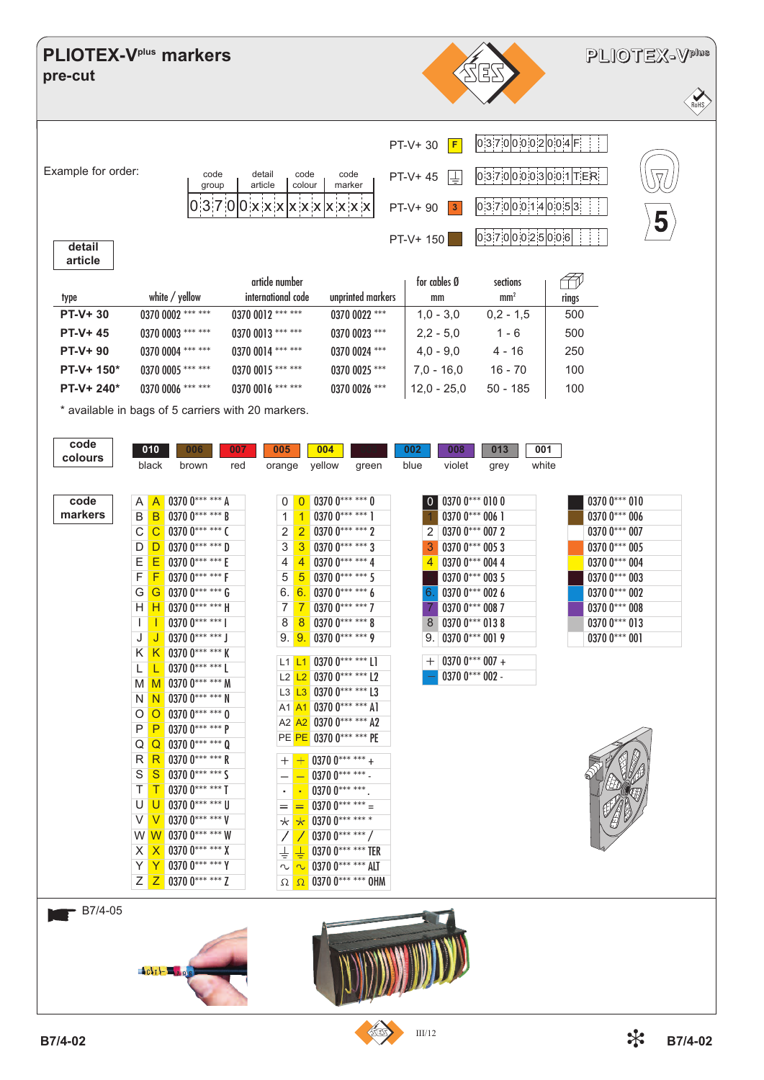## **PLIOTEX-V<sup>plus</sup> markers** pre-cut



# PLIOTEX-V<sup>plus</sup>

5

ioHS



| ı<br>n |  |
|--------|--|
|        |  |

|                |                   | artide number      |                   | for cables Ø  | sections        |       |
|----------------|-------------------|--------------------|-------------------|---------------|-----------------|-------|
| type           | white / yellow    | international code | unprinted markers | mm            | mm <sup>2</sup> | rings |
| <b>PT-V+30</b> | 0370 0002 *** *** | $03700012$ *** *** | $03700022$ ***    | $1.0 - 3.0$   | $0.2 - 1.5$     | 500   |
| PT-V+45        | 0370 0003 *** *** | 0370 0013 *** ***  | $03700023$ ***    | $2,2 - 5,0$   | $1 - 6$         | 500   |
| $PT-V+90$      | 0370 0004 *** *** | 0370 0014 *** ***  | $03700024$ ***    | $4.0 - 9.0$   | 4 - 16          | 250   |
| $PT-V+ 150*$   | 0370 0005 *** *** | 0370 0015 *** ***  | $03700025$ ***    | $7.0 - 16.0$  | $16 - 70$       | 100   |
| $PT-V+ 240*$   | 0370 0006 *** *** | 0370 0016 *** ***  | 0370 0026 ***     | $12.0 - 25.0$ | $50 - 185$      | 100   |

\* available in bags of 5 carriers with 20 markers.

| code    | 010               |                   | 006                                  | 007 | 005               |                | 004                                    |                   | 002    | 008                 | 013  | 001   |               |
|---------|-------------------|-------------------|--------------------------------------|-----|-------------------|----------------|----------------------------------------|-------------------|--------|---------------------|------|-------|---------------|
| colours | black             |                   | brown                                | red |                   |                | orange yellow                          | green             | blue   | violet              | grey | white |               |
|         |                   |                   |                                      |     |                   |                |                                        |                   |        |                     |      |       |               |
| code    | A A               |                   | 0370 0*** *** A                      |     | 0                 |                | $0.03700******0$                       |                   |        | $0$ 0370 0*** 010 0 |      |       | $03700***010$ |
| markers | $\mathsf{B}$      | B                 | $0.3700$ *** *** B                   |     | 1                 | $\mathbf{1}$   | 0370 $0******1$                        |                   |        | 0370 $0***$ 006 1   |      |       | 0370 0*** 006 |
|         | $\overline{C}$    | $\mathcal{C}$     | $03700*****$ (                       |     | $\overline{2}$    |                | $2$ 0370 0*** *** 2                    |                   |        | $2$ 0370 0*** 007 2 |      |       | 0370 0*** 007 |
|         | D                 |                   | $D$ 0370 $0******$ D                 |     | 3                 | 3 <sup>7</sup> | 0370 $0******3$                        |                   | 3      | 0370 0*** 005 3     |      |       | 0370 0*** 005 |
|         | E                 | Ε                 | 0370 0*** *** E                      |     | 4                 | 4 <sup>1</sup> | 0370 $0******4$                        |                   | 4      | 0370 0*** 004 4     |      |       | 0370 0*** 004 |
|         | F                 | F                 | 0370 0*** *** F                      |     | 5                 | 5              | 0370 $0******5$                        |                   |        | 0370 0*** 003 5     |      |       | 0370 0*** 003 |
|         | G                 | G                 | $0.3700*****6$                       |     | 6.                | 6.1            | $03700******6$                         |                   | 6.     | $03700$ *** 0026    |      |       | $03700***002$ |
|         | H.                | н                 | 0370 $0******$ H                     |     | 7                 | 7              | 0370 $0******7$                        |                   | 7      | 0370 0*** 008 7     |      |       | 0370 0*** 008 |
|         |                   |                   | 0370 $0******$                       |     | 8                 | 8              | $03700******8$                         |                   |        | $03700***0138$      |      |       | $03700***013$ |
|         | $\mathbf{I}$<br>J |                   | 0370 $0******$ J                     |     |                   |                | 0370 $0******9$                        |                   | 8      | $03700***0019$      |      |       | $03700***001$ |
|         |                   |                   | 0370 0*** *** K                      |     |                   | 9.9.           |                                        |                   | 9.     |                     |      |       |               |
|         | K                 | K                 | 0370 $0******1$                      |     |                   |                | L1 L1 0370 $0******11$                 |                   | $^{+}$ | 0370 $0***$ 007 +   |      |       |               |
|         | L                 | L                 | M 0370 0*** *** M                    |     |                   |                | L2 $L2$ 0370 0*** *** L2               |                   |        | 0370 $0***002$ -    |      |       |               |
|         | M I               |                   | $N$ 0370 0*** *** N                  |     |                   |                | L3 L3 0370 0*** *** L3                 |                   |        |                     |      |       |               |
|         | N                 |                   | $\overline{O}$ 0.370 0*** *** 0      |     |                   |                | A1 A1 0370 0*** *** A1                 |                   |        |                     |      |       |               |
|         | O                 |                   |                                      |     |                   |                | A2 A2 0370 0*** *** A2                 |                   |        |                     |      |       |               |
|         | P                 | P                 | 0370 $0******P$                      |     |                   |                | PE PE 0370 0*** *** PE                 |                   |        |                     |      |       |               |
|         | Q                 |                   | Q 0370 0*** *** 0                    |     |                   |                |                                        |                   |        |                     |      |       |               |
|         | R                 |                   | R 0370 0*** *** R                    |     | $^{+}$            |                | 0370 $0******$ +                       |                   |        |                     |      |       |               |
|         | S<br>T            | S<br>T            | 0370 $0******$ S<br>$0.3700******$ T |     | -                 |                | 0370 $0******$ .                       |                   |        |                     |      |       |               |
|         |                   |                   |                                      |     |                   |                | $03700******$                          |                   |        |                     |      |       |               |
|         | U<br>V            | U<br>V            | 0370 0*** *** U<br>$03700$ *** *** V |     | $=$               |                | 0370 $0******$ =                       |                   |        |                     |      |       |               |
|         | W W               |                   | 0370 0*** *** W                      |     | $\star$ $\star$   |                | 0370 0*** *** *                        |                   |        |                     |      |       |               |
|         |                   |                   | 0370 $0****** X$                     |     |                   |                | 0370 $0******/$                        |                   |        |                     |      |       |               |
|         | $\times$<br>Y     | $\mathsf{X}$<br>Y | $03700******$ Y                      |     |                   |                | 0370 0*** *** TER<br>0370 0*** *** ALT |                   |        |                     |      |       |               |
|         |                   |                   | $Z$ $Z$ 0370 0*** *** Z              |     | r                 | $\sim$         |                                        | 0370 0*** *** OHM |        |                     |      |       |               |
|         |                   |                   |                                      |     | $\Omega$ $\Omega$ |                |                                        |                   |        |                     |      |       |               |
| B7/4-05 |                   |                   |                                      |     |                   |                |                                        |                   |        |                     |      |       |               |
|         |                   |                   |                                      |     |                   |                |                                        |                   |        |                     |      |       |               |
|         |                   |                   |                                      |     |                   |                |                                        |                   |        |                     |      |       |               |
|         |                   |                   |                                      |     |                   |                |                                        |                   |        |                     |      |       |               |
|         | $c_{11}$ $ 2$     |                   |                                      |     |                   |                |                                        |                   |        |                     |      |       |               |
|         |                   |                   |                                      |     |                   |                |                                        |                   |        |                     |      |       |               |
|         |                   |                   |                                      |     |                   |                |                                        |                   |        |                     |      |       |               |
|         |                   |                   |                                      |     |                   |                |                                        | $\mathbb{Z}$      |        |                     |      |       |               |

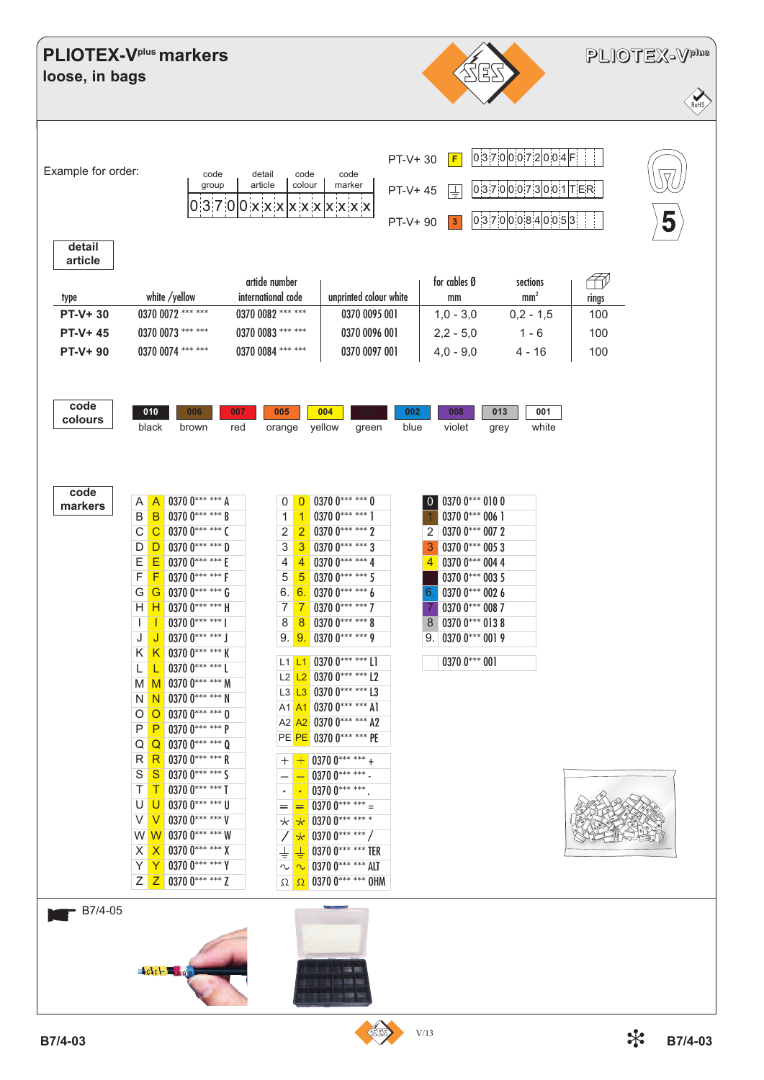| loose, in bags                                          | <b>PLIOTEX-V<sup>plus</sup> markers</b>                                                                                                                                                                                                                                                                                                                                                                                                                                                                                                                                                                                                                                                                                                                                                          |                                                                                                                                                                                                                                                                                                                                                                                                                                                                                                                                                                                                                                                                                                                                                                                                                                              |                                                                                                                                                                                                                                                                                                                  | 각군                                                                                                    | PLIOTEX-V <sup>plus</sup><br>RoHS |
|---------------------------------------------------------|--------------------------------------------------------------------------------------------------------------------------------------------------------------------------------------------------------------------------------------------------------------------------------------------------------------------------------------------------------------------------------------------------------------------------------------------------------------------------------------------------------------------------------------------------------------------------------------------------------------------------------------------------------------------------------------------------------------------------------------------------------------------------------------------------|----------------------------------------------------------------------------------------------------------------------------------------------------------------------------------------------------------------------------------------------------------------------------------------------------------------------------------------------------------------------------------------------------------------------------------------------------------------------------------------------------------------------------------------------------------------------------------------------------------------------------------------------------------------------------------------------------------------------------------------------------------------------------------------------------------------------------------------------|------------------------------------------------------------------------------------------------------------------------------------------------------------------------------------------------------------------------------------------------------------------------------------------------------------------|-------------------------------------------------------------------------------------------------------|-----------------------------------|
| Example for order:<br>detail                            | code<br>group                                                                                                                                                                                                                                                                                                                                                                                                                                                                                                                                                                                                                                                                                                                                                                                    | detail<br>code<br>article<br>colour<br>03700xxxxxxxxxxx                                                                                                                                                                                                                                                                                                                                                                                                                                                                                                                                                                                                                                                                                                                                                                                      | PT-V+30<br>F<br>code<br>marker<br>PT-V+45<br>L<br>$\overline{\mathbf{3}}$<br>PT-V+90                                                                                                                                                                                                                             | 0 3 7 0 0 0 7 2 0 0 4 F <br>$ 0 3 7 0 0 0 7 3 0 0 1 $ T ER<br> 0 3 7 0 0 0 8 4 0 0 5 3                | $\nabla$<br>5                     |
| article<br>type<br><b>PT-V+30</b><br>PT-V+45<br>PT-V+90 | white /yellow<br>0370 0072 *** ***<br>0370 0073 *** ***<br>0370 0074 *** ***                                                                                                                                                                                                                                                                                                                                                                                                                                                                                                                                                                                                                                                                                                                     | article number<br>international code<br>0370 0082 *** ***<br>0370 0083 *** ***<br>0370 0084 *** ***                                                                                                                                                                                                                                                                                                                                                                                                                                                                                                                                                                                                                                                                                                                                          | for cables Ø<br>unprinted colour white<br>mm<br>0370 0095 001<br>$1,0 - 3,0$<br>0370 0096 001<br>$2,2 - 5,0$<br>$4,0 - 9,0$<br>0370 0097 001                                                                                                                                                                     | 47<br>sections<br>mm <sup>2</sup><br>rings<br>$0,2 - 1,5$<br>100<br>$1 - 6$<br>100<br>$4 - 16$<br>100 |                                   |
| code<br>colours                                         | 010<br>006<br>black<br>brown                                                                                                                                                                                                                                                                                                                                                                                                                                                                                                                                                                                                                                                                                                                                                                     | 007<br>005<br>004<br>red<br>yellow<br>orange                                                                                                                                                                                                                                                                                                                                                                                                                                                                                                                                                                                                                                                                                                                                                                                                 | 002<br>008<br>blue<br>violet<br>green                                                                                                                                                                                                                                                                            | 001<br>013<br>white<br>grey                                                                           |                                   |
| code<br>markers                                         | 0370 0*** *** A<br>Α<br>$\mathsf{A}$<br>0370 0*** *** B<br>B<br>B<br>$\overline{C}$<br>0370 0*** *** C<br>$\mathsf{C}$<br>0370 0*** *** D<br>D<br>D<br>Ε<br>Ε<br>0370 0*** *** E<br>F<br>F<br>0370 0*** *** F<br>G<br>0370 0*** *** G<br>G<br>0370 0*** *** H<br>Η<br>H<br>0370 $0******$  <br>0370 $0******$ J<br>J<br>J<br>K 0370 0*** *** K<br>K<br>0370 $0******$ L<br>L<br>L<br>M $\overline{M}$ 0370 0*** *** M<br>$03700***$ *** N<br>N <sub>1</sub><br>N<br>$\overline{O}$ 0370 0*** *** 0<br>O<br>0370 $0******P$<br>P<br>P<br>$Q$ Q 0370 0*** *** 0<br>R R 0370 0*** *** R<br>S<br>$S$ 0370 0*** *** S<br>$T$ 0370 0*** *** T<br>T.<br>U 0370 0*** *** U<br>U<br>V V<br>0370 $0******V$<br>W W 0370 0*** *** W<br>$X \ X$ 0370 0*** *** X<br>$Y Y 03700***$<br>$Z$ $Z$ 0370 0*** *** Z | 0370 $0******0$<br>0<br>$\overline{0}$<br>0370 $0******$ 1<br>$\mathbf{1}$<br>-1<br>$\overline{2}$<br>0370 $0******2$<br>$\overline{2}$<br>$\sqrt{3}$<br>0370 $0******3$<br>3<br>$\overline{4}$<br>0370 $0*****4$<br>4<br>5<br>0370 0*** *** 5<br>5<br>6.<br>0370 0****** 6<br>$6\phantom{1}6$<br>$\overline{7}$<br>$\overline{7}$<br>0370 0******* 7<br>8<br>0370 $0******8$<br>8<br>0370 0*** *** 9<br>9. 9.<br>L1 L1 0370 0*** *** L1<br>L2 L2 0370 0*** *** L2<br>0370 $0******$ L3<br>$L3$ $L3$<br>A1 A1 0370 0*** *** A1<br>A2 A2 0370 0*** *** A2<br>PE PE 0370 0*** *** PE<br>0370 $0******$ +<br>$^{+}$<br>0370 $0******$ -<br>0370 $0******$ .<br>0370 $0****** =$<br>=<br>0370 0*** *** *<br>$^{\star}$<br>$\star$<br>0370 $0******/$<br>$\star$<br>$\frac{1}{\pi}$<br>┷<br>0370 0*** *** ALT<br>r<br>$\sim$<br>$\Omega$ $\Omega$ | 0370 0*** 010 0<br>$\overline{0}$<br>0370 0*** 006 1<br>$2$ 0370 0*** 007 2<br>0370 0*** 005 3<br>3<br>0370 0*** 004 4<br>4<br>0370 0*** 003 5<br>0370 0*** 002 6<br>6.<br>0370 0*** 008 7<br>$\overline{7}$<br>8 0370 0*** 013 8<br>$9.03700***0019$<br>0370 0*** 001<br>0370 0*** *** TER<br>0370 0*** *** OHM |                                                                                                       |                                   |
| $\overline{B7/4-05}$                                    | $c_{11}$ - $2$                                                                                                                                                                                                                                                                                                                                                                                                                                                                                                                                                                                                                                                                                                                                                                                   |                                                                                                                                                                                                                                                                                                                                                                                                                                                                                                                                                                                                                                                                                                                                                                                                                                              | m t                                                                                                                                                                                                                                                                                                              |                                                                                                       |                                   |
| B7/4-03                                                 |                                                                                                                                                                                                                                                                                                                                                                                                                                                                                                                                                                                                                                                                                                                                                                                                  |                                                                                                                                                                                                                                                                                                                                                                                                                                                                                                                                                                                                                                                                                                                                                                                                                                              | V/13                                                                                                                                                                                                                                                                                                             |                                                                                                       | ╬<br>B7/4-03                      |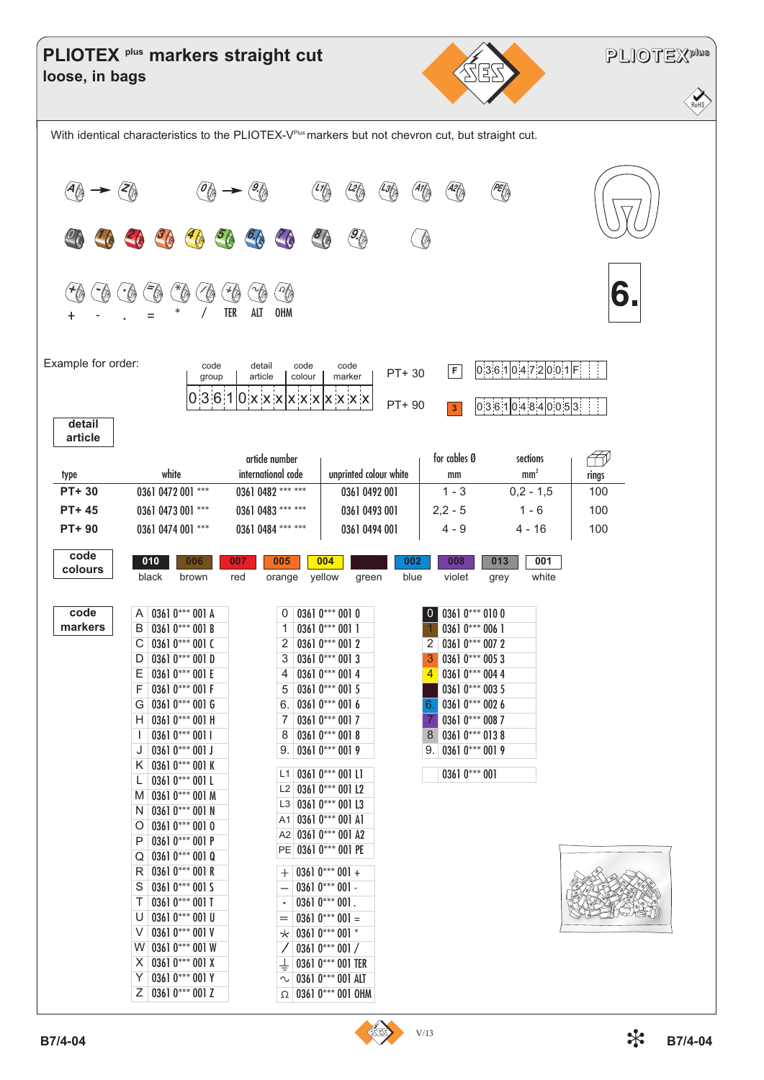|                    | PLIOTEX <sup> plus</sup> markers straight cut                |                                      |                                       | ES                                                                                                  | <b>PLIOTEXPINS</b> |
|--------------------|--------------------------------------------------------------|--------------------------------------|---------------------------------------|-----------------------------------------------------------------------------------------------------|--------------------|
| loose, in bags     |                                                              |                                      |                                       |                                                                                                     | <b>RoHS</b>        |
|                    |                                                              |                                      |                                       | With identical characteristics to the PLIOTEX-VPILIS markers but not chevron cut, but straight cut. |                    |
|                    |                                                              |                                      | $\mathcal{G}$                         | PER<br>$\overline{A2}$                                                                              |                    |
| H<br>┿             | ***<br>$\tilde{\mathcal{F}}_{\text{in}}$<br>$\gamma_{\odot}$ | TER<br>ALT<br><b>OHM</b>             |                                       |                                                                                                     | 6                  |
| Example for order: | code<br>group                                                | detail<br>code<br>article<br>colour  | code<br>PT+30<br>marker<br>PT+ 90     | 0.3610472001F<br>F                                                                                  |                    |
| detail<br>article  |                                                              |                                      |                                       | 0.36104840053<br>$\vert 3 \vert$                                                                    |                    |
| type               | white                                                        | article number<br>international code | unprinted colour white                | for cables Ø<br>sections<br>mm <sup>2</sup><br>mm                                                   | ĦŃ<br>rings        |
| PT+30              | 0361 0472 001 ***                                            | 0361 0482 *** ***                    | 0361 0492 001                         | $0,2 - 1,5$<br>$1 - 3$                                                                              | 100                |
| PT+45              | 0361 0473 001 ***                                            | 0361 0483 *** ***                    | 0361 0493 001                         | $2,2 - 5$<br>$1 - 6$                                                                                | 100                |
| PT+90              | 0361 0474 001 ***                                            | 0361 0484 *** ***                    | 0361 0494 001                         | $4 - 9$<br>$4 - 16$                                                                                 | 100                |
| code<br>colours    | 010<br>006<br>black<br>brown                                 | 007<br>005<br>red<br>orange          | 004<br>002<br>yellow<br>blue<br>green | 001<br>008<br>013<br>white<br>violet<br>grey                                                        |                    |
| code               | 0361 0*** 001 A<br>A                                         | 0                                    | $03610***0010$                        | $0$ 0361 0*** 010 0                                                                                 |                    |
| markers            | 0361 0*** 001 B<br>B                                         | 1                                    | 0361 0*** 001 1                       | 0361 0*** 006 1                                                                                     |                    |
|                    | 0361 0*** 001 C<br>С                                         | 2                                    | $03610***0012$                        | $2   0361 0*** 007 2$                                                                               |                    |
|                    | 0361 $0***001$ D<br>D                                        | 3                                    | $03610***0013$                        | $03610***0053$<br>3                                                                                 |                    |
|                    | Ε<br>0361 0*** 001 E<br>F                                    | 4                                    | 0361 $0***$ 001 4                     | 0361 0*** 004 4<br>4                                                                                |                    |
|                    | 0361 0*** 001 F<br>0361 $0***$ 001 G<br>G                    | 5<br>6.                              | $03610***0015$<br>$03610***0016$      | 0361 0*** 003 5<br>0361 0*** 002 6<br>6.                                                            |                    |
|                    | 0361 0*** 001 H<br>H.                                        | 7                                    | 0361 0*** 001 7                       | 0361 0*** 008 7<br>7                                                                                |                    |
|                    | $03610***0011$                                               | 8                                    | $03610***0018$                        | $03610***0138$<br>8                                                                                 |                    |
|                    | J<br>0361 $0***001J$                                         | 9.                                   | $03610***0019$                        | $9.   0361 0*** 001 9$                                                                              |                    |
|                    | K 0361 0*** 001 K                                            | L1 0361 $0***$ 001 L1                |                                       | 0361 0*** 001                                                                                       |                    |
|                    | 0361 $0***001$ L<br>L<br>0361 0*** 001 M<br>M.               |                                      | L2 0361 0*** 001 L2                   |                                                                                                     |                    |
|                    | 0361 0*** 001 N<br>N                                         |                                      | L3 0361 $0***$ 001 L3                 |                                                                                                     |                    |
|                    | $03610***0010$<br>O                                          |                                      | A1 0361 0*** 001 A1                   |                                                                                                     |                    |
|                    | 0361 $0***001P$<br>P                                         |                                      | A2 0361 0*** 001 A2                   |                                                                                                     |                    |
|                    | 0361 $0***$ 001 Q<br>Q                                       |                                      | PE 0361 0*** 001 PE                   |                                                                                                     |                    |
|                    | 0361 $0***$ 001 R<br>R                                       | $^+$                                 | 0361 $0***001 +$                      |                                                                                                     |                    |
|                    | 0361 $0***$ 001 S<br>S                                       | $\overline{\phantom{0}}$             | $03610***001 -$                       |                                                                                                     |                    |
|                    | 0361 0*** 001 T<br>Τ<br>0361 $0***$ 001 U<br>U               | $\bullet$<br>$=$                     | $03610***001.$<br>$03610***001 =$     |                                                                                                     |                    |
|                    | 0361 0*** 001 V<br>V                                         | $^\star$                             | 0361 0*** 001 *                       |                                                                                                     |                    |
|                    | 0361 0*** 001 W<br>W.                                        |                                      | 0361 $0***001/$                       |                                                                                                     |                    |
|                    | 0361 $0***$ 001 X<br>X.                                      | ┶                                    | 0361 0*** 001 TER                     |                                                                                                     |                    |
|                    | 0361 0*** 001 Y<br>Υ                                         | ∿                                    | 0361 0*** 001 ALT                     |                                                                                                     |                    |
|                    | Z 0361 0*** 001 Z                                            |                                      | $\Omega$ 0361 0*** 001 OHM            |                                                                                                     |                    |